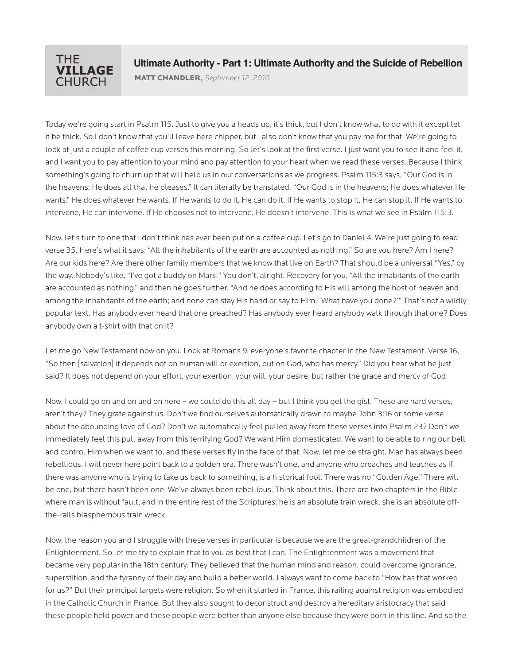

MATT CHANDLER**,** *September 12, 2010*

Today we're going start in Psalm 115. Just to give you a heads up, it's thick, but I don't know what to do with it except let it be thick. So I don't know that you'll leave here chipper, but I also don't know that you pay me for that. We're going to look at just a couple of coffee cup verses this morning. So let's look at the first verse. I just want you to see it and feel it, and I want you to pay attention to your mind and pay attention to your heart when we read these verses. Because I think something's going to churn up that will help us in our conversations as we progress. Psalm 115:3 says, "Our God is in the heavens; He does all that he pleases." It can literally be translated, "Our God is in the heavens; He does whatever He wants." He does whatever He wants. If He wants to do it, He can do it. If He wants to stop it, He can stop it. If He wants to intervene, He can intervene. If He chooses not to intervene, He doesn't intervene. This is what we see in Psalm 115:3.

Now, let's turn to one that I don't think has ever been put on a coffee cup. Let's go to Daniel 4. We're just going to read verse 35. Here's what it says: "All the inhabitants of the earth are accounted as nothing." So are you here? Am I here? Are our kids here? Are there other family members that we know that live on Earth? That should be a universal "Yes," by the way. Nobody's like, "I've got a buddy on Mars!" You don't, alright. Recovery for you. "All the inhabitants of the earth are accounted as nothing," and then he goes further. "And he does according to His will among the host of heaven and among the inhabitants of the earth; and none can stay His hand or say to Him, 'What have you done?'" That's not a wildly popular text. Has anybody ever heard that one preached? Has anybody ever heard anybody walk through that one? Does anybody own a t-shirt with that on it?

Let me go New Testament now on you. Look at Romans 9, everyone's favorite chapter in the New Testament. Verse 16, "So then [salvation] it depends not on human will or exertion, but on God, who has mercy." Did you hear what he just said? It does not depend on your effort, your exertion, your will, your desire, but rather the grace and mercy of God.

Now, I could go on and on and on here – we could do this all day – but I think you get the gist. These are hard verses, aren't they? They grate against us. Don't we find ourselves automatically drawn to maybe John 3:16 or some verse about the abounding love of God? Don't we automatically feel pulled away from these verses into Psalm 23? Don't we immediately feel this pull away from this terrifying God? We want Him domesticated. We want to be able to ring our bell and control Him when we want to, and these verses fly in the face of that. Now, let me be straight. Man has always been rebellious. I will never here point back to a golden era. There wasn't one, and anyone who preaches and teaches as if there was,anyone who is trying to take us back to something, is a historical fool. There was no "Golden Age." There will be one, but there hasn't been one. We've always been rebellious. Think about this. There are two chapters in the Bible where man is without fault, and in the entire rest of the Scriptures, he is an absolute train wreck, she is an absolute offthe-rails blasphemous train wreck.

Now, the reason you and I struggle with these verses in particular is because we are the great-grandchildren of the Enlightenment. So let me try to explain that to you as best that I can. The Enlightenment was a movement that became very popular in the 18th century. They believed that the human mind and reason, could overcome ignorance, superstition, and the tyranny of their day and build a better world. I always want to come back to "How has that worked for us?" But their principal targets were religion. So when it started in France, this railing against religion was embodied in the Catholic Church in France. But they also sought to deconstruct and destroy a hereditary aristocracy that said these people held power and these people were better than anyone else because they were born in this line. And so the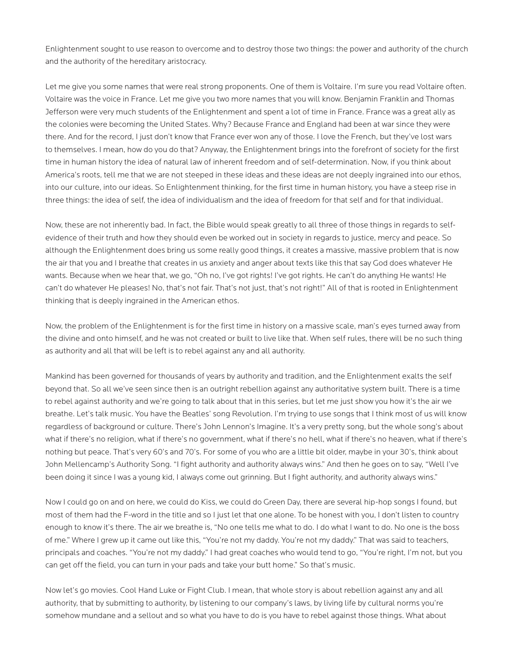Enlightenment sought to use reason to overcome and to destroy those two things: the power and authority of the church and the authority of the hereditary aristocracy.

Let me give you some names that were real strong proponents. One of them is Voltaire. I'm sure you read Voltaire often. Voltaire was the voice in France. Let me give you two more names that you will know. Benjamin Franklin and Thomas Jefferson were very much students of the Enlightenment and spent a lot of time in France. France was a great ally as the colonies were becoming the United States. Why? Because France and England had been at war since they were there. And for the record, I just don't know that France ever won any of those. I love the French, but they've lost wars to themselves. I mean, how do you do that? Anyway, the Enlightenment brings into the forefront of society for the first time in human history the idea of natural law of inherent freedom and of self-determination. Now, if you think about America's roots, tell me that we are not steeped in these ideas and these ideas are not deeply ingrained into our ethos, into our culture, into our ideas. So Enlightenment thinking, for the first time in human history, you have a steep rise in three things: the idea of self, the idea of individualism and the idea of freedom for that self and for that individual.

Now, these are not inherently bad. In fact, the Bible would speak greatly to all three of those things in regards to selfevidence of their truth and how they should even be worked out in society in regards to justice, mercy and peace. So although the Enlightenment does bring us some really good things, it creates a massive, massive problem that is now the air that you and I breathe that creates in us anxiety and anger about texts like this that say God does whatever He wants. Because when we hear that, we go, "Oh no, I've got rights! I've got rights. He can't do anything He wants! He can't do whatever He pleases! No, that's not fair. That's not just, that's not right!" All of that is rooted in Enlightenment thinking that is deeply ingrained in the American ethos.

Now, the problem of the Enlightenment is for the first time in history on a massive scale, man's eyes turned away from the divine and onto himself, and he was not created or built to live like that. When self rules, there will be no such thing as authority and all that will be left is to rebel against any and all authority.

Mankind has been governed for thousands of years by authority and tradition, and the Enlightenment exalts the self beyond that. So all we've seen since then is an outright rebellion against any authoritative system built. There is a time to rebel against authority and we're going to talk about that in this series, but let me just show you how it's the air we breathe. Let's talk music. You have the Beatles' song Revolution. I'm trying to use songs that I think most of us will know regardless of background or culture. There's John Lennon's Imagine. It's a very pretty song, but the whole song's about what if there's no religion, what if there's no government, what if there's no hell, what if there's no heaven, what if there's nothing but peace. That's very 60's and 70's. For some of you who are a little bit older, maybe in your 30's, think about John Mellencamp's Authority Song. "I fight authority and authority always wins." And then he goes on to say, "Well I've been doing it since I was a young kid, I always come out grinning. But I fight authority, and authority always wins."

Now I could go on and on here, we could do Kiss, we could do Green Day, there are several hip-hop songs I found, but most of them had the F-word in the title and so I just let that one alone. To be honest with you, I don't listen to country enough to know it's there. The air we breathe is, "No one tells me what to do. I do what I want to do. No one is the boss of me." Where I grew up it came out like this, "You're not my daddy. You're not my daddy." That was said to teachers, principals and coaches. "You're not my daddy." I had great coaches who would tend to go, "You're right, I'm not, but you can get off the field, you can turn in your pads and take your butt home." So that's music.

Now let's go movies. Cool Hand Luke or Fight Club. I mean, that whole story is about rebellion against any and all authority, that by submitting to authority, by listening to our company's laws, by living life by cultural norms you're somehow mundane and a sellout and so what you have to do is you have to rebel against those things. What about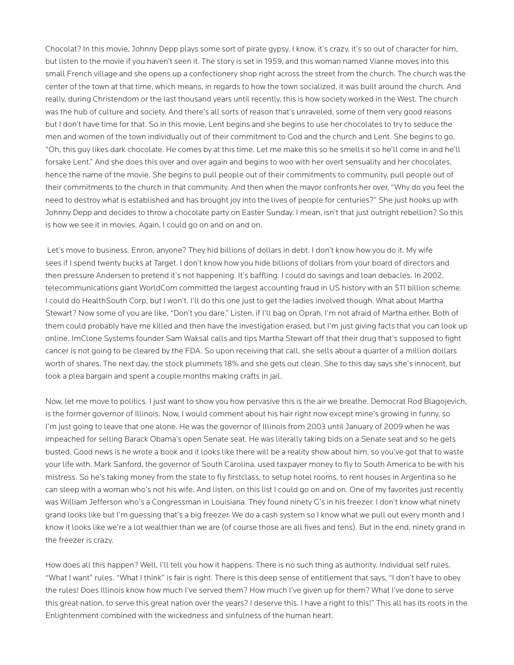Chocolat? In this movie, Johnny Depp plays some sort of pirate gypsy. I know, it's crazy, it's so out of character for him, but listen to the movie if you haven't seen it. The story is set in 1959, and this woman named Vianne moves into this small French village and she opens up a confectionery shop right across the street from the church. The church was the center of the town at that time, which means, in regards to how the town socialized, it was built around the church. And really, during Christendom or the last thousand years until recently, this is how society worked in the West. The church was the hub of culture and society. And there's all sorts of reason that's unraveled, some of them very good reasons but I don't have time for that. So in this movie, Lent begins and she begins to use her chocolates to try to seduce the men and women of the town individually out of their commitment to God and the church and Lent. She begins to go, "Oh, this guy likes dark chocolate. He comes by at this time. Let me make this so he smells it so he'll come in and he'll forsake Lent." And she does this over and over again and begins to woo with her overt sensuality and her chocolates, hence the name of the movie. She begins to pull people out of their commitments to community, pull people out of their commitments to the church in that community. And then when the mayor confronts her over, "Why do you feel the need to destroy what is established and has brought joy into the lives of people for centuries?" She just hooks up with Johnny Depp and decides to throw a chocolate party on Easter Sunday. I mean, isn't that just outright rebellion? So this is how we see it in movies. Again, I could go on and on and on.

 Let's move to business. Enron, anyone? They hid billions of dollars in debt. I don't know how you do it. My wife sees if I spend twenty bucks at Target. I don't know how you hide billions of dollars from your board of directors and then pressure Andersen to pretend it's not happening. It's baffling. I could do savings and loan debacles. In 2002, telecommunications giant WorldCom committed the largest accounting fraud in US history with an \$11 billion scheme. I could do HealthSouth Corp, but I won't. I'll do this one just to get the ladies involved though. What about Martha Stewart? Now some of you are like, "Don't you dare." Listen, if I'll bag on Oprah, I'm not afraid of Martha either. Both of them could probably have me killed and then have the investigation erased, but I'm just giving facts that you can look up online. ImClone Systems founder Sam Waksal calls and tips Martha Stewart off that their drug that's supposed to fight cancer is not going to be cleared by the FDA. So upon receiving that call, she sells about a quarter of a million dollars worth of shares. The next day, the stock plummets 18% and she gets out clean. She to this day says she's innocent, but took a plea bargain and spent a couple months making crafts in jail.

Now, let me move to politics. I just want to show you how pervasive this is the air we breathe. Democrat Rod Blagojevich, is the former governor of Illinois. Now, I would comment about his hair right now except mine's growing in funny, so I'm just going to leave that one alone. He was the governor of Illinois from 2003 until January of 2009 when he was impeached for selling Barack Obama's open Senate seat. He was literally taking bids on a Senate seat and so he gets busted. Good news is he wrote a book and it looks like there will be a reality show about him, so you've got that to waste your life with. Mark Sanford, the governor of South Carolina, used taxpayer money to fly to South America to be with his mistress. So he's taking money from the state to fly firstclass, to setup hotel rooms, to rent houses in Argentina so he can sleep with a woman who's not his wife. And listen, on this list I could go on and on. One of my favorites just recently was William Jefferson who's a Congressman in Louisiana. They found ninety G's in his freezer. I don't know what ninety grand looks like but I'm guessing that's a big freezer. We do a cash system so I know what we pull out every month and I know it looks like we're a lot wealthier than we are (of course those are all fives and tens). But in the end, ninety grand in the freezer is crazy.

How does all this happen? Well, I'll tell you how it happens. There is no such thing as authority. Individual self rules. "What I want" rules. "What I think" is fair is right. There is this deep sense of entitlement that says, "I don't have to obey the rules! Does Illinois know how much I've served them? How much I've given up for them? What I've done to serve this great nation, to serve this great nation over the years? I deserve this. I have a right to this!" This all has its roots in the Enlightenment combined with the wickedness and sinfulness of the human heart.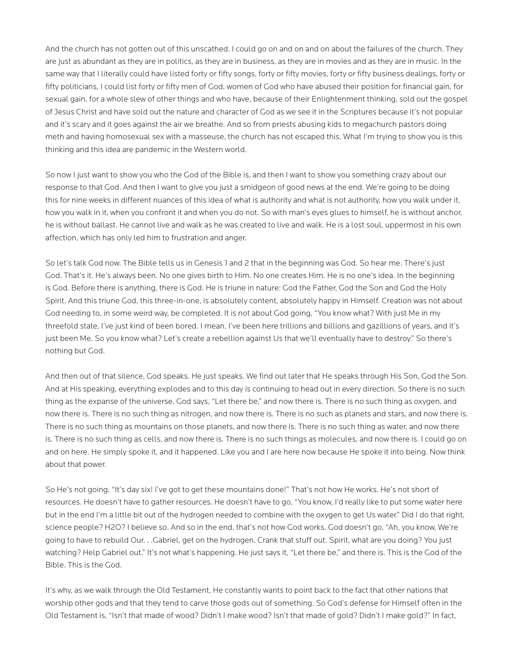And the church has not gotten out of this unscathed. I could go on and on and on about the failures of the church. They are just as abundant as they are in politics, as they are in business, as they are in movies and as they are in music. In the same way that I literally could have listed forty or fifty songs, forty or fifty movies, forty or fifty business dealings, forty or fifty politicians, I could list forty or fifty men of God, women of God who have abused their position for financial gain, for sexual gain, for a whole slew of other things and who have, because of their Enlightenment thinking, sold out the gospel of Jesus Christ and have sold out the nature and character of God as we see it in the Scriptures because it's not popular and it's scary and it goes against the air we breathe. And so from priests abusing kids to megachurch pastors doing meth and having homosexual sex with a masseuse, the church has not escaped this. What I'm trying to show you is this thinking and this idea are pandemic in the Western world.

So now I just want to show you who the God of the Bible is, and then I want to show you something crazy about our response to that God. And then I want to give you just a smidgeon of good news at the end. We're going to be doing this for nine weeks in different nuances of this idea of what is authority and what is not authority, how you walk under it, how you walk in it, when you confront it and when you do not. So with man's eyes glues to himself, he is without anchor, he is without ballast. He cannot live and walk as he was created to live and walk. He is a lost soul, uppermost in his own affection, which has only led him to frustration and anger.

So let's talk God now. The Bible tells us in Genesis 1 and 2 that in the beginning was God. So hear me. There's just God. That's it. He's always been. No one gives birth to Him. No one creates Him. He is no one's idea. In the beginning is God. Before there is anything, there is God. He is triune in nature: God the Father, God the Son and God the Holy Spirit. And this triune God, this three-in-one, is absolutely content, absolutely happy in Himself. Creation was not about God needing to, in some weird way, be completed. It is not about God going, "You know what? With just Me in my threefold state, I've just kind of been bored. I mean, I've been here trillions and billions and gazillions of years, and it's just been Me. So you know what? Let's create a rebellion against Us that we'll eventually have to destroy." So there's nothing but God.

And then out of that silence, God speaks. He just speaks. We find out later that He speaks through His Son, God the Son. And at His speaking, everything explodes and to this day is continuing to head out in every direction. So there is no such thing as the expanse of the universe. God says, "Let there be," and now there is. There is no such thing as oxygen, and now there is. There is no such thing as nitrogen, and now there is. There is no such as planets and stars, and now there is. There is no such thing as mountains on those planets, and now there is. There is no such thing as water, and now there is. There is no such thing as cells, and now there is. There is no such things as molecules, and now there is. I could go on and on here. He simply spoke it, and it happened. Like you and I are here now because He spoke it into being. Now think about that power.

So He's not going, "It's day six! I've got to get these mountains done!" That's not how He works. He's not short of resources. He doesn't have to gather resources. He doesn't have to go, "You know, I'd really like to put some water here but in the end I'm a little bit out of the hydrogen needed to combine with the oxygen to get Us water." Did I do that right, science people? H2O? I believe so. And so in the end, that's not how God works. God doesn't go, "Ah, you know, We're going to have to rebuild Our. . .Gabriel, get on the hydrogen. Crank that stuff out. Spirit, what are you doing? You just watching? Help Gabriel out." It's not what's happening. He just says it, "Let there be," and there is. This is the God of the Bible. This is the God.

It's why, as we walk through the Old Testament, He constantly wants to point back to the fact that other nations that worship other gods and that they tend to carve those gods out of something. So God's defense for Himself often in the Old Testament is, "Isn't that made of wood? Didn't I make wood? Isn't that made of gold? Didn't I make gold?" In fact,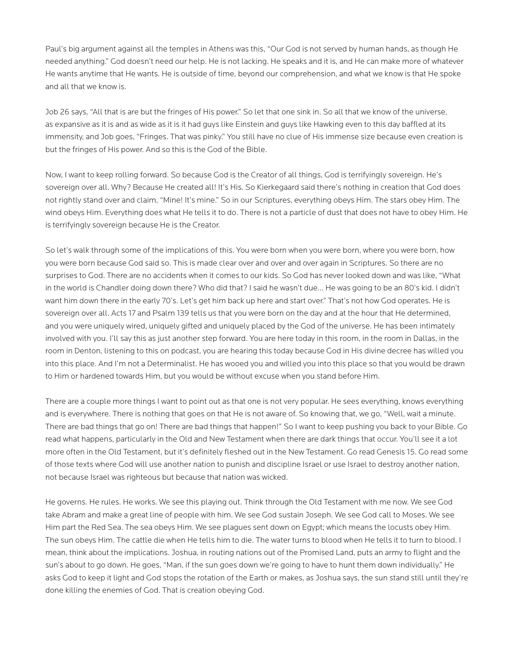Paul's big argument against all the temples in Athens was this, "Our God is not served by human hands, as though He needed anything." God doesn't need our help. He is not lacking. He speaks and it is, and He can make more of whatever He wants anytime that He wants. He is outside of time, beyond our comprehension, and what we know is that He spoke and all that we know is.

Job 26 says, "All that is are but the fringes of His power." So let that one sink in. So all that we know of the universe, as expansive as it is and as wide as it is it had guys like Einstein and guys like Hawking even to this day baffled at its immensity, and Job goes, "Fringes. That was pinky." You still have no clue of His immense size because even creation is but the fringes of His power. And so this is the God of the Bible.

Now, I want to keep rolling forward. So because God is the Creator of all things, God is terrifyingly sovereign. He's sovereign over all. Why? Because He created all! It's His. So Kierkegaard said there's nothing in creation that God does not rightly stand over and claim, "Mine! It's mine." So in our Scriptures, everything obeys Him. The stars obey Him. The wind obeys Him. Everything does what He tells it to do. There is not a particle of dust that does not have to obey Him. He is terrifyingly sovereign because He is the Creator.

So let's walk through some of the implications of this. You were born when you were born, where you were born, how you were born because God said so. This is made clear over and over and over again in Scriptures. So there are no surprises to God. There are no accidents when it comes to our kids. So God has never looked down and was like, "What in the world is Chandler doing down there? Who did that? I said he wasn't due… He was going to be an 80's kid. I didn't want him down there in the early 70's. Let's get him back up here and start over." That's not how God operates. He is sovereign over all. Acts 17 and Psalm 139 tells us that you were born on the day and at the hour that He determined, and you were uniquely wired, uniquely gifted and uniquely placed by the God of the universe. He has been intimately involved with you. I'll say this as just another step forward. You are here today in this room, in the room in Dallas, in the room in Denton, listening to this on podcast, you are hearing this today because God in His divine decree has willed you into this place. And I'm not a Determinalist. He has wooed you and willed you into this place so that you would be drawn to Him or hardened towards Him, but you would be without excuse when you stand before Him.

There are a couple more things I want to point out as that one is not very popular. He sees everything, knows everything and is everywhere. There is nothing that goes on that He is not aware of. So knowing that, we go, "Well, wait a minute. There are bad things that go on! There are bad things that happen!" So I want to keep pushing you back to your Bible. Go read what happens, particularly in the Old and New Testament when there are dark things that occur. You'll see it a lot more often in the Old Testament, but it's definitely fleshed out in the New Testament. Go read Genesis 15. Go read some of those texts where God will use another nation to punish and discipline Israel or use Israel to destroy another nation, not because Israel was righteous but because that nation was wicked.

He governs. He rules. He works. We see this playing out. Think through the Old Testament with me now. We see God take Abram and make a great line of people with him. We see God sustain Joseph. We see God call to Moses. We see Him part the Red Sea. The sea obeys Him. We see plagues sent down on Egypt; which means the locusts obey Him. The sun obeys Him. The cattle die when He tells him to die. The water turns to blood when He tells it to turn to blood. I mean, think about the implications. Joshua, in routing nations out of the Promised Land, puts an army to flight and the sun's about to go down. He goes, "Man, if the sun goes down we're going to have to hunt them down individually." He asks God to keep it light and God stops the rotation of the Earth or makes, as Joshua says, the sun stand still until they're done killing the enemies of God. That is creation obeying God.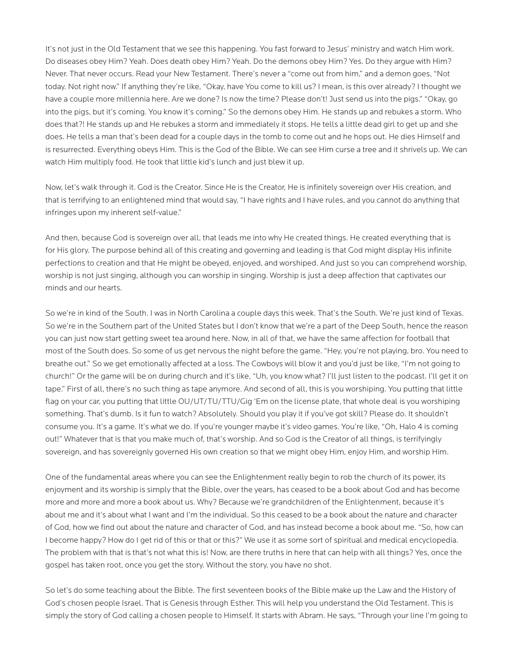It's not just in the Old Testament that we see this happening. You fast forward to Jesus' ministry and watch Him work. Do diseases obey Him? Yeah. Does death obey Him? Yeah. Do the demons obey Him? Yes. Do they argue with Him? Never. That never occurs. Read your New Testament. There's never a "come out from him," and a demon goes, "Not today. Not right now." If anything they're like, "Okay, have You come to kill us? I mean, is this over already? I thought we have a couple more millennia here. Are we done? Is now the time? Please don't! Just send us into the pigs." "Okay, go into the pigs, but it's coming. You know it's coming." So the demons obey Him. He stands up and rebukes a storm. Who does that?! He stands up and He rebukes a storm and immediately it stops. He tells a little dead girl to get up and she does. He tells a man that's been dead for a couple days in the tomb to come out and he hops out. He dies Himself and is resurrected. Everything obeys Him. This is the God of the Bible. We can see Him curse a tree and it shrivels up. We can watch Him multiply food. He took that little kid's lunch and just blew it up.

Now, let's walk through it. God is the Creator. Since He is the Creator, He is infinitely sovereign over His creation, and that is terrifying to an enlightened mind that would say, "I have rights and I have rules, and you cannot do anything that infringes upon my inherent self-value."

And then, because God is sovereign over all, that leads me into why He created things. He created everything that is for His glory. The purpose behind all of this creating and governing and leading is that God might display His infinite perfections to creation and that He might be obeyed, enjoyed, and worshiped. And just so you can comprehend worship, worship is not just singing, although you can worship in singing. Worship is just a deep affection that captivates our minds and our hearts.

So we're in kind of the South. I was in North Carolina a couple days this week. That's the South. We're just kind of Texas. So we're in the Southern part of the United States but I don't know that we're a part of the Deep South, hence the reason you can just now start getting sweet tea around here. Now, in all of that, we have the same affection for football that most of the South does. So some of us get nervous the night before the game. "Hey, you're not playing, bro. You need to breathe out." So we get emotionally affected at a loss. The Cowboys will blow it and you'd just be like, "I'm not going to church!" Or the game will be on during church and it's like, "Uh, you know what? I'll just listen to the podcast. I'll get it on tape." First of all, there's no such thing as tape anymore. And second of all, this is you worshiping. You putting that little flag on your car, you putting that little OU/UT/TU/TTU/Gig 'Em on the license plate, that whole deal is you worshiping something. That's dumb. Is it fun to watch? Absolutely. Should you play it if you've got skill? Please do. It shouldn't consume you. It's a game. It's what we do. If you're younger maybe it's video games. You're like, "Oh, Halo 4 is coming out!" Whatever that is that you make much of, that's worship. And so God is the Creator of all things, is terrifyingly sovereign, and has sovereignly governed His own creation so that we might obey Him, enjoy Him, and worship Him.

One of the fundamental areas where you can see the Enlightenment really begin to rob the church of its power, its enjoyment and its worship is simply that the Bible, over the years, has ceased to be a book about God and has become more and more and more a book about us. Why? Because we're grandchildren of the Enlightenment, because it's about me and it's about what I want and I'm the individual. So this ceased to be a book about the nature and character of God, how we find out about the nature and character of God, and has instead become a book about me. "So, how can I become happy? How do I get rid of this or that or this?" We use it as some sort of spiritual and medical encyclopedia. The problem with that is that's not what this is! Now, are there truths in here that can help with all things? Yes, once the gospel has taken root, once you get the story. Without the story, you have no shot.

So let's do some teaching about the Bible. The first seventeen books of the Bible make up the Law and the History of God's chosen people Israel. That is Genesis through Esther. This will help you understand the Old Testament. This is simply the story of God calling a chosen people to Himself. It starts with Abram. He says, "Through your line I'm going to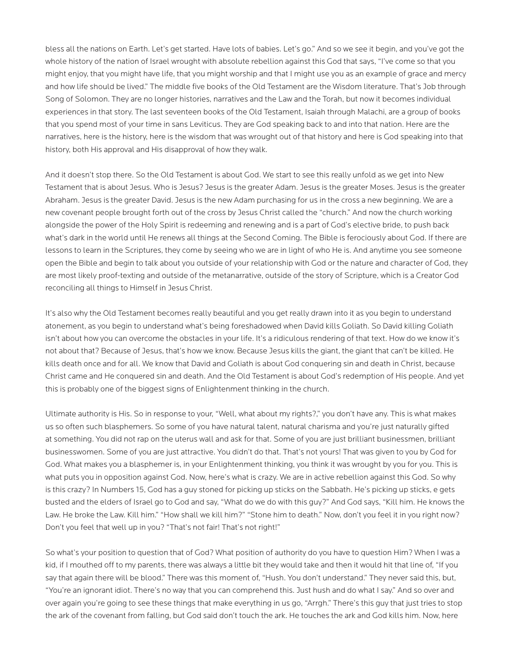bless all the nations on Earth. Let's get started. Have lots of babies. Let's go." And so we see it begin, and you've got the whole history of the nation of Israel wrought with absolute rebellion against this God that says, "I've come so that you might enjoy, that you might have life, that you might worship and that I might use you as an example of grace and mercy and how life should be lived." The middle five books of the Old Testament are the Wisdom literature. That's Job through Song of Solomon. They are no longer histories, narratives and the Law and the Torah, but now it becomes individual experiences in that story. The last seventeen books of the Old Testament, Isaiah through Malachi, are a group of books that you spend most of your time in sans Leviticus. They are God speaking back to and into that nation. Here are the narratives, here is the history, here is the wisdom that was wrought out of that history and here is God speaking into that history, both His approval and His disapproval of how they walk.

And it doesn't stop there. So the Old Testament is about God. We start to see this really unfold as we get into New Testament that is about Jesus. Who is Jesus? Jesus is the greater Adam. Jesus is the greater Moses. Jesus is the greater Abraham. Jesus is the greater David. Jesus is the new Adam purchasing for us in the cross a new beginning. We are a new covenant people brought forth out of the cross by Jesus Christ called the "church." And now the church working alongside the power of the Holy Spirit is redeeming and renewing and is a part of God's elective bride, to push back what's dark in the world until He renews all things at the Second Coming. The Bible is ferociously about God. If there are lessons to learn in the Scriptures, they come by seeing who we are in light of who He is. And anytime you see someone open the Bible and begin to talk about you outside of your relationship with God or the nature and character of God, they are most likely proof-texting and outside of the metanarrative, outside of the story of Scripture, which is a Creator God reconciling all things to Himself in Jesus Christ.

It's also why the Old Testament becomes really beautiful and you get really drawn into it as you begin to understand atonement, as you begin to understand what's being foreshadowed when David kills Goliath. So David killing Goliath isn't about how you can overcome the obstacles in your life. It's a ridiculous rendering of that text. How do we know it's not about that? Because of Jesus, that's how we know. Because Jesus kills the giant, the giant that can't be killed. He kills death once and for all. We know that David and Goliath is about God conquering sin and death in Christ, because Christ came and He conquered sin and death. And the Old Testament is about God's redemption of His people. And yet this is probably one of the biggest signs of Enlightenment thinking in the church.

Ultimate authority is His. So in response to your, "Well, what about my rights?," you don't have any. This is what makes us so often such blasphemers. So some of you have natural talent, natural charisma and you're just naturally gifted at something. You did not rap on the uterus wall and ask for that. Some of you are just brilliant businessmen, brilliant businesswomen. Some of you are just attractive. You didn't do that. That's not yours! That was given to you by God for God. What makes you a blasphemer is, in your Enlightenment thinking, you think it was wrought by you for you. This is what puts you in opposition against God. Now, here's what is crazy. We are in active rebellion against this God. So why is this crazy? In Numbers 15, God has a guy stoned for picking up sticks on the Sabbath. He's picking up sticks, e gets busted and the elders of Israel go to God and say, "What do we do with this guy?" And God says, "Kill him. He knows the Law. He broke the Law. Kill him." "How shall we kill him?" "Stone him to death." Now, don't you feel it in you right now? Don't you feel that well up in you? "That's not fair! That's not right!"

So what's your position to question that of God? What position of authority do you have to question Him? When I was a kid, if I mouthed off to my parents, there was always a little bit they would take and then it would hit that line of, "If you say that again there will be blood." There was this moment of, "Hush. You don't understand." They never said this, but, "You're an ignorant idiot. There's no way that you can comprehend this. Just hush and do what I say." And so over and over again you're going to see these things that make everything in us go, "Arrgh." There's this guy that just tries to stop the ark of the covenant from falling, but God said don't touch the ark. He touches the ark and God kills him. Now, here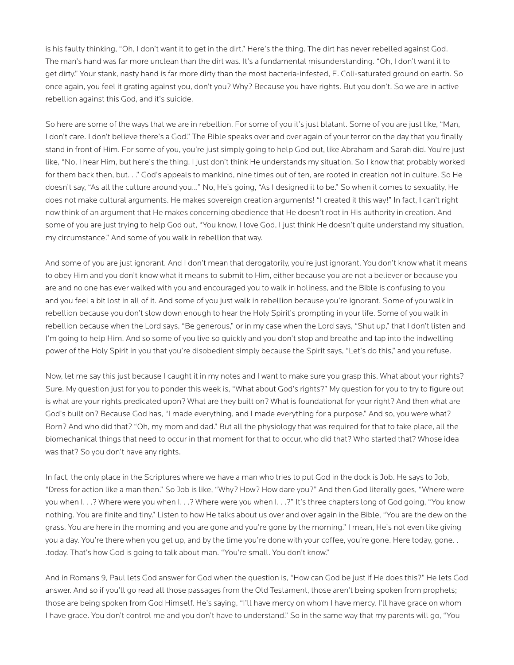is his faulty thinking, "Oh, I don't want it to get in the dirt." Here's the thing. The dirt has never rebelled against God. The man's hand was far more unclean than the dirt was. It's a fundamental misunderstanding. "Oh, I don't want it to get dirty." Your stank, nasty hand is far more dirty than the most bacteria-infested, E. Coli-saturated ground on earth. So once again, you feel it grating against you, don't you? Why? Because you have rights. But you don't. So we are in active rebellion against this God, and it's suicide.

So here are some of the ways that we are in rebellion. For some of you it's just blatant. Some of you are just like, "Man, I don't care. I don't believe there's a God." The Bible speaks over and over again of your terror on the day that you finally stand in front of Him. For some of you, you're just simply going to help God out, like Abraham and Sarah did. You're just like, "No, I hear Him, but here's the thing. I just don't think He understands my situation. So I know that probably worked for them back then, but. . ." God's appeals to mankind, nine times out of ten, are rooted in creation not in culture. So He doesn't say, "As all the culture around you…" No, He's going, "As I designed it to be." So when it comes to sexuality, He does not make cultural arguments. He makes sovereign creation arguments! "I created it this way!" In fact, I can't right now think of an argument that He makes concerning obedience that He doesn't root in His authority in creation. And some of you are just trying to help God out, "You know, I love God, I just think He doesn't quite understand my situation, my circumstance." And some of you walk in rebellion that way.

And some of you are just ignorant. And I don't mean that derogatorily, you're just ignorant. You don't know what it means to obey Him and you don't know what it means to submit to Him, either because you are not a believer or because you are and no one has ever walked with you and encouraged you to walk in holiness, and the Bible is confusing to you and you feel a bit lost in all of it. And some of you just walk in rebellion because you're ignorant. Some of you walk in rebellion because you don't slow down enough to hear the Holy Spirit's prompting in your life. Some of you walk in rebellion because when the Lord says, "Be generous," or in my case when the Lord says, "Shut up," that I don't listen and I'm going to help Him. And so some of you live so quickly and you don't stop and breathe and tap into the indwelling power of the Holy Spirit in you that you're disobedient simply because the Spirit says, "Let's do this," and you refuse.

Now, let me say this just because I caught it in my notes and I want to make sure you grasp this. What about your rights? Sure. My question just for you to ponder this week is, "What about God's rights?" My question for you to try to figure out is what are your rights predicated upon? What are they built on? What is foundational for your right? And then what are God's built on? Because God has, "I made everything, and I made everything for a purpose." And so, you were what? Born? And who did that? "Oh, my mom and dad." But all the physiology that was required for that to take place, all the biomechanical things that need to occur in that moment for that to occur, who did that? Who started that? Whose idea was that? So you don't have any rights.

In fact, the only place in the Scriptures where we have a man who tries to put God in the dock is Job. He says to Job, "Dress for action like a man then." So Job is like, "Why? How? How dare you?" And then God literally goes, "Where were you when I. . .? Where were you when I. . .? Where were you when I. . .?" It's three chapters long of God going, "You know nothing. You are finite and tiny." Listen to how He talks about us over and over again in the Bible, "You are the dew on the grass. You are here in the morning and you are gone and you're gone by the morning." I mean, He's not even like giving you a day. You're there when you get up, and by the time you're done with your coffee, you're gone. Here today, gone. . .today. That's how God is going to talk about man. "You're small. You don't know."

And in Romans 9, Paul lets God answer for God when the question is, "How can God be just if He does this?" He lets God answer. And so if you'll go read all those passages from the Old Testament, those aren't being spoken from prophets; those are being spoken from God Himself. He's saying, "I'll have mercy on whom I have mercy. I'll have grace on whom I have grace. You don't control me and you don't have to understand." So in the same way that my parents will go, "You